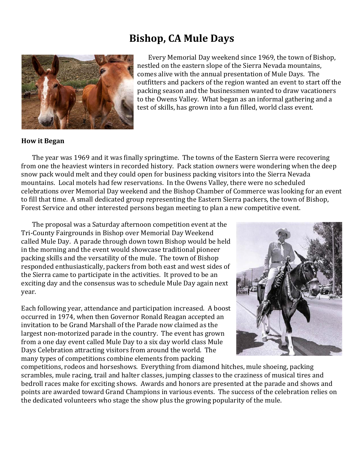## **Bishop, CA Mule Days**



Every Memorial Day weekend since 1969, the town of Bishop, nestled on the eastern slope of the Sierra Nevada mountains, comes alive with the annual presentation of Mule Days. The outfitters and packers of the region wanted an event to start off the packing season and the businessmen wanted to draw vacationers to the Owens Valley. What began as an informal gathering and a test of skills, has grown into a fun filled, world class event.

## **How it Began**

The year was 1969 and it was finally springtime. The towns of the Eastern Sierra were recovering from one the heaviest winters in recorded history. Pack station owners were wondering when the deep snow pack would melt and they could open for business packing visitors into the Sierra Nevada mountains. Local motels had few reservations. In the Owens Valley, there were no scheduled celebrations over Memorial Day weekend and the Bishop Chamber of Commerce was looking for an event to fill that time. A small dedicated group representing the Eastern Sierra packers, the town of Bishop, Forest Service and other interested persons began meeting to plan a new competitive event.

The proposal was a Saturday afternoon competition event at the Tri-County Fairgrounds in Bishop over Memorial Day Weekend called Mule Day. A parade through down town Bishop would be held in the morning and the event would showcase traditional pioneer packing skills and the versatility of the mule. The town of Bishop responded enthusiastically, packers from both east and west sides of the Sierra came to participate in the activities. It proved to be an exciting day and the consensus was to schedule Mule Day again next year.

Each following year, attendance and participation increased. A boost occurred in 1974, when then Governor Ronald Reagan accepted an invitation to be Grand Marshall of the Parade now claimed as the largest non-motorized parade in the country. The event has grown from a one day event called Mule Day to a six day world class Mule Days Celebration attracting visitors from around the world. The many types of competitions combine elements from packing



competitions, rodeos and horseshows. Everything from diamond hitches, mule shoeing, packing scrambles, mule racing, trail and halter classes, jumping classes to the craziness of musical tires and bedroll races make for exciting shows. Awards and honors are presented at the parade and shows and points are awarded toward Grand Champions in various events. The success of the celebration relies on the dedicated volunteers who stage the show plus the growing popularity of the mule.